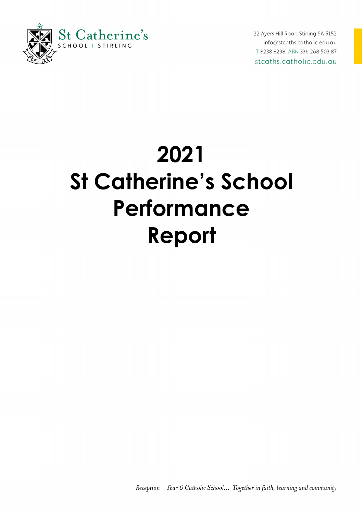

22 Ayers Hill Road Stirling SA 5152 info@stcaths.catholic.edu.au T 8238 8238 ABN 336 268 503 87 stcaths.catholic.edu.au

# **2021 St Catherine's School Performance Report**

Reception - Year 6 Catholic School... Together in faith, learning and community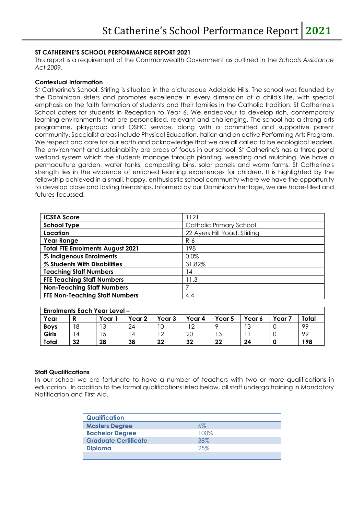### **ST CATHERINE'S SCHOOL PERFORMANCE REPORT 2021**

This report is a requirement of the Commonwealth Government as outlined in the *Schools Assistance Act 2009.* 

#### **Contextual Information**

St Catherine's School, Stirling is situated in the picturesque Adelaide Hills. The school was founded by the Dominican sisters and promotes excellence in every dimension of a child's life, with special emphasis on the faith formation of students and their families in the Catholic tradition. St Catherine's School caters for students in Reception to Year 6. We endeavour to develop rich, contemporary learning environments that are personalised, relevant and challenging. The school has a strong arts programme, playgroup and OSHC service, along with a committed and supportive parent community. Specialist areas include Physical Education, Italian and an active Performing Arts Program. We respect and care for our earth and acknowledge that we are all called to be ecological leaders. The environment and sustainability are areas of focus in our school. St Catherine's has a three pond wetland system which the students manage through planting, weeding and mulching. We have a permaculture garden, water tanks, composting bins, solar panels and worm farms. St Catherine's strength lies in the evidence of enriched learning experiences for children. It is highlighted by the fellowship achieved in a small, happy, enthusiastic school community where we have the opportunity to develop close and lasting friendships. Informed by our Dominican heritage, we are hope-filled and futures-focussed.

| <b>ICSEA Score</b>                      | 1121                         |
|-----------------------------------------|------------------------------|
| <b>School Type</b>                      | Catholic Primary School      |
| Location                                | 22 Ayers Hill Road, Stirling |
| <b>Year Range</b>                       | R-6                          |
| <b>Total FTE Enrolments August 2021</b> | 198                          |
| % Indigenous Enrolments                 | 0.0%                         |
| % Students With Disabilities            | 31.82%                       |
| <b>Teaching Staff Numbers</b>           | 14                           |
| <b>FTE Teaching Staff Numbers</b>       | 11.3                         |
| <b>Non-Teaching Staff Numbers</b>       |                              |
| <b>FTE Non-Teaching Staff Numbers</b>   | 4.4                          |

|             |    | <b>Enrolments Each Year Level -</b> |                |        |        |          |          |        |       |
|-------------|----|-------------------------------------|----------------|--------|--------|----------|----------|--------|-------|
| Year        | D  | Year                                | Year 2         | Year 3 | Year 4 | Year 5   | Year 6   | Year : | Total |
| <b>Boys</b> | 18 | າລ<br>د ا                           | 24             | 10     | - 2    |          | ה ד<br>ب |        | 99    |
| Girls       | 4  | 15                                  | $\overline{4}$ | $^12$  | 20     | ר ו<br>J |          |        | 99    |
| Total       | 32 | 28                                  | 38             | 22     | 32     | 22       | 24       |        | 198   |

### **Staff Qualifications**

In our school we are fortunate to have a number of teachers with two or more qualifications in education. In addition to the formal qualifications listed below, all staff undergo training in Mandatory Notification and First Aid.

| <b>Qualification</b>        |      |
|-----------------------------|------|
| <b>Masters Degree</b>       | 6%   |
| <b>Bachelor Degree</b>      | 100% |
| <b>Graduate Certificate</b> | 38%  |
| <b>Diploma</b>              | 25%  |
|                             |      |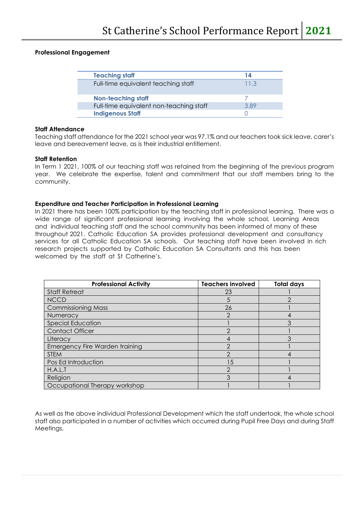# **Professional Engagement**

| <b>Teaching staff</b>                   | 14   |
|-----------------------------------------|------|
| Full-time equivalent teaching staff     | 11.3 |
| <b>Non-teaching staff</b>               |      |
| Full-time equivalent non-teaching staff | 389  |
| <b>Indigenous Staff</b>                 |      |

# **Staff Attendance**

Teaching staff attendance for the 2021 school year was 97.1% and our teachers took sick leave, carer's leave and bereavement leave, as is their industrial entitlement.

# **Staff Retention**

In Term 1 2021, 100% of our teaching staff was retained from the beginning of the previous program year. We celebrate the expertise, talent and commitment that our staff members bring to the community.

# **Expenditure and Teacher Participation in Professional Learning**

In 2021 there has been 100% participation by the teaching staff in professional learning. There was a wide range of significant professional learning involving the whole school, Learning Areas and individual teaching staff and the school community has been informed of many of these throughout 2021. Catholic Education SA provides professional development and consultancy services for all Catholic Education SA schools. Our teaching staff have been involved in rich research projects supported by Catholic Education SA Consultants and this has been welcomed by the staff at St Catherine's.

| <b>Professional Activity</b>   | <b>Teachers involved</b> | <b>Total days</b> |
|--------------------------------|--------------------------|-------------------|
| <b>Staff Retreat</b>           | 23                       |                   |
| <b>NCCD</b>                    | 5                        | 2                 |
| <b>Commissioning Mass</b>      | 26                       |                   |
| Numeracy                       | 2                        | 4                 |
| <b>Special Education</b>       |                          | 3                 |
| <b>Contact Officer</b>         | ⌒                        |                   |
| Literacy                       |                          |                   |
| Emergency Fire Warden training | っ                        |                   |
| <b>STEM</b>                    | ↷                        |                   |
| Pos Ed Introduction            | 15                       |                   |
| H.A.L.T                        |                          |                   |
| Religion                       | 3                        |                   |
| Occupational Therapy workshop  |                          |                   |

As well as the above individual Professional Development which the staff undertook, the whole school staff also participated in a number of activities which occurred during Pupil Free Days and during Staff Meetings.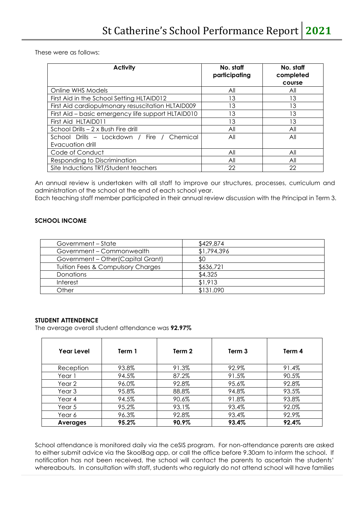These were as follows:

| <b>Activity</b>                                    | No. staff<br>participating | No. staff<br>completed<br>course |
|----------------------------------------------------|----------------------------|----------------------------------|
| Online WHS Models                                  | All                        | All                              |
| First Aid in the School Setting HLTAID012          | 13                         | 13                               |
| First Aid cardiopulmonary resuscitation HLTAID009  | 13                         | 13                               |
| First Aid - basic emergency life support HLTAID010 | IЗ                         | 13                               |
| First Aid HLTAID011                                | 13                         | 13                               |
| School Drills - 2 x Bush Fire drill                | All                        | All                              |
| School Drills - Lockdown / Fire / Chemical         | All                        | All                              |
| Evacuation drill                                   |                            |                                  |
| Code of Conduct                                    | All                        | All                              |
| Responding to Discrimination                       | All                        | All                              |
| Site Inductions TRT/Student teachers               | 22                         | 22                               |

An annual review is undertaken with all staff to improve our structures, processes, curriculum and administration of the school at the end of each school year.

Each teaching staff member participated in their annual review discussion with the Principal in Term 3.

### **SCHOOL INCOME**

| Government - State                           | \$429,874   |
|----------------------------------------------|-------------|
| Government – Commonwealth                    | \$1,794,396 |
| Government - Other (Capital Grant)           | \$0         |
| <b>Tuition Fees &amp; Compulsory Charges</b> | \$636,721   |
| <b>Donations</b>                             | \$4,325     |
| Interest                                     | \$1,913     |
| Other                                        | \$131.090   |

#### **STUDENT ATTENDENCE**

The average overall student attendance was **92.97%**

| Year Level        | Term 1 | Term 2 | Term 3 | Term 4 |
|-------------------|--------|--------|--------|--------|
| Reception         | 93.8%  | 91.3%  | 92.9%  | 91.4%  |
| Year 1            | 94.5%  | 87.2%  | 91.5%  | 90.5%  |
| Year 2            | 96.0%  | 92.8%  | 95.6%  | 92.8%  |
| Year <sub>3</sub> | 95.8%  | 88.8%  | 94.8%  | 93.5%  |
| Year 4            | 94.5%  | 90.6%  | 91.8%  | 93.8%  |
| Year 5            | 95.2%  | 93.1%  | 93.4%  | 92.0%  |
| Year 6            | 96.3%  | 92.8%  | 93.4%  | 92.9%  |
| <b>Averages</b>   | 95.2%  | 90.9%  | 93.4%  | 92.4%  |

School attendance is monitored daily via the ceSIS program. For non-attendance parents are asked to either submit advice via the SkoolBag app, or call the office before 9.30am to inform the school. If notification has not been received, the school will contact the parents to ascertain the students' whereabouts. In consultation with staff, students who regularly do not attend school will have families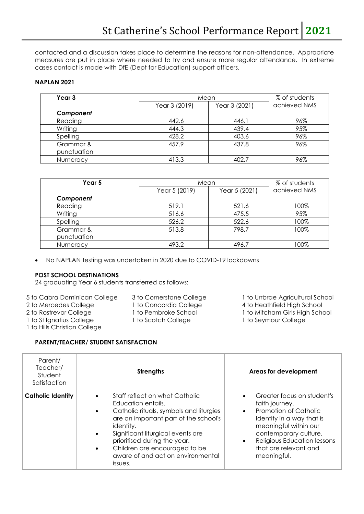contacted and a discussion takes place to determine the reasons for non-attendance. Appropriate measures are put in place where needed to try and ensure more regular attendance. In extreme cases contact is made with DfE (Dept for Education) support officers.

## **NAPLAN 2021**

| Year 3      | Mean          |               | % of students |
|-------------|---------------|---------------|---------------|
|             | Year 3 (2019) | Year 3 (2021) | achieved NMS  |
| Component   |               |               |               |
| Reading     | 442.6         | 446.1         | 96%           |
| Writing     | 444.3         | 439.4         | 95%           |
| Spelling    | 428.2         | 403.6         | 96%           |
| Grammar &   | 457.9         | 437.8         | 96%           |
| punctuation |               |               |               |
| Numeracy    | 413.3         | 402.7         | 96%           |

| Year 5          | Mean          |               | % of students |  |
|-----------------|---------------|---------------|---------------|--|
|                 | Year 5 (2019) | Year 5 (2021) | achieved NMS  |  |
| Component       |               |               |               |  |
| Reading         | 519.1         | 521.6         | 100%          |  |
| Writing         | 516.6         | 475.5         | 95%           |  |
| Spelling        | 526.2         | 522.6         | 100%          |  |
| Grammar &       | 513.8         | 798.7         | 100%          |  |
| punctuation     |               |               |               |  |
| <b>Numeracy</b> | 493.2         | 496.7         | 100%          |  |

• No NAPLAN testing was undertaken in 2020 due to COVID-19 lockdowns

### **POST SCHOOL DESTINATIONS**

24 graduating Year 6 students transferred as follows:

- 
- 
- 
- 1 to St Ignatius College 1 to Scotch College 1 to Seymour College
- 1 to Hills Christian College
- 
- 
- 
- 5 to Cabra Dominican College 3 to Cornerstone College 1 to Urrbrae Agricultural School
- 2 to Mercedes College 1 to Concordia College 4 to Heathfield High School<br>2 to Rostrevor College 1 to Pembroke School 2 to Mitcham Girls High Scho 1 to Mitcham Girls High School
	-

# **PARENT/TEACHER/ STUDENT SATISFACTION**

| Parent/<br>Teacher/<br>Student<br>Satisfaction | <b>Strengths</b>                                                                                                                                                                                                                                                                                                                                                | Areas for development                                                                                                                                                                                                                    |
|------------------------------------------------|-----------------------------------------------------------------------------------------------------------------------------------------------------------------------------------------------------------------------------------------------------------------------------------------------------------------------------------------------------------------|------------------------------------------------------------------------------------------------------------------------------------------------------------------------------------------------------------------------------------------|
| <b>Catholic Identity</b>                       | Staff reflect on what Catholic<br>$\bullet$<br>Education entails.<br>Catholic rituals, symbols and liturgies<br>$\bullet$<br>are an important part of the school's<br>identity.<br>Significant liturgical events are<br>$\bullet$<br>prioritised during the year.<br>Children are encouraged to be<br>$\bullet$<br>aware of and act on environmental<br>issues. | Greater focus on student's<br>faith journey.<br>Promotion of Catholic<br>Identity in a way that is<br>meaningful within our<br>contemporary culture.<br>Religious Education lessons<br>$\bullet$<br>that are relevant and<br>meaningful. |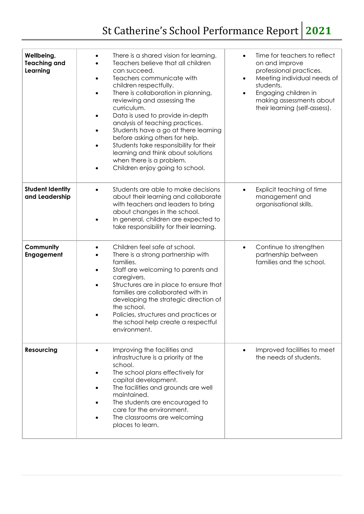| Wellbeing,<br><b>Teaching and</b><br>Learning | There is a shared vision for learning.<br>$\bullet$<br>Teachers believe that all children<br>can succeed.<br>Teachers communicate with<br>$\bullet$<br>children respectfully.<br>There is collaboration in planning,<br>$\bullet$<br>reviewing and assessing the<br>curriculum.<br>Data is used to provide in-depth<br>$\bullet$<br>analysis of teaching practices.<br>Students have a go at there learning<br>$\bullet$<br>before asking others for help.<br>Students take responsibility for their<br>$\bullet$<br>learning and think about solutions<br>when there is a problem.<br>Children enjoy going to school. | Time for teachers to reflect<br>$\bullet$<br>on and improve<br>professional practices.<br>Meeting individual needs of<br>٠<br>students.<br>Engaging children in<br>$\bullet$<br>making assessments about<br>their learning (self-assess). |
|-----------------------------------------------|------------------------------------------------------------------------------------------------------------------------------------------------------------------------------------------------------------------------------------------------------------------------------------------------------------------------------------------------------------------------------------------------------------------------------------------------------------------------------------------------------------------------------------------------------------------------------------------------------------------------|-------------------------------------------------------------------------------------------------------------------------------------------------------------------------------------------------------------------------------------------|
| <b>Student Identity</b><br>and Leadership     | Students are able to make decisions<br>$\bullet$<br>about their learning and collaborate<br>with teachers and leaders to bring<br>about changes in the school.<br>In general, children are expected to<br>$\bullet$<br>take responsibility for their learning.                                                                                                                                                                                                                                                                                                                                                         | Explicit teaching of time<br>$\bullet$<br>management and<br>organisational skills.                                                                                                                                                        |
| Community<br>Engagement                       | Children feel safe at school.<br>$\bullet$<br>There is a strong partnership with<br>families.<br>Staff are welcoming to parents and<br>$\bullet$<br>caregivers.<br>Structures are in place to ensure that<br>$\bullet$<br>families are collaborated with in<br>developing the strategic direction of<br>the school.<br>Policies, structures and practices or<br>the school help create a respectful<br>environment.                                                                                                                                                                                                    | Continue to strengthen<br>$\bullet$<br>partnership between<br>families and the school.                                                                                                                                                    |
| <b>Resourcing</b>                             | Improving the facilities and<br>$\bullet$<br>infrastructure is a priority at the<br>school.<br>The school plans effectively for<br>capital development.<br>The facilities and grounds are well<br>maintained.<br>The students are encouraged to<br>care for the environment.<br>The classrooms are welcoming<br>places to learn.                                                                                                                                                                                                                                                                                       | Improved facilities to meet<br>the needs of students.                                                                                                                                                                                     |